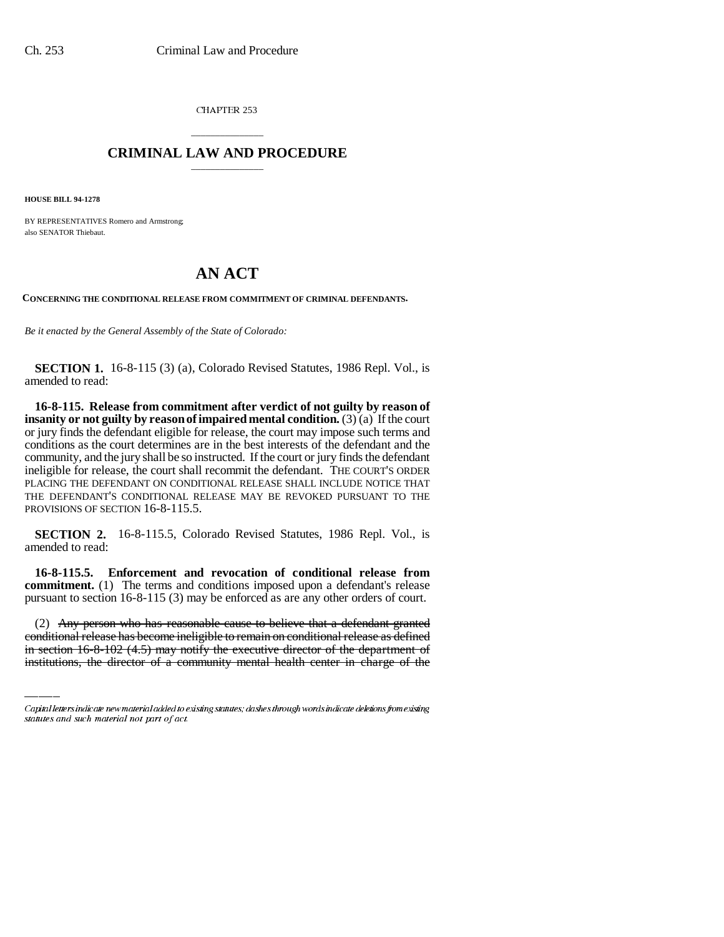CHAPTER 253

## \_\_\_\_\_\_\_\_\_\_\_\_\_\_\_ **CRIMINAL LAW AND PROCEDURE** \_\_\_\_\_\_\_\_\_\_\_\_\_\_\_

**HOUSE BILL 94-1278**

BY REPRESENTATIVES Romero and Armstrong; also SENATOR Thiebaut.

## **AN ACT**

**CONCERNING THE CONDITIONAL RELEASE FROM COMMITMENT OF CRIMINAL DEFENDANTS.**

*Be it enacted by the General Assembly of the State of Colorado:*

**SECTION 1.** 16-8-115 (3) (a), Colorado Revised Statutes, 1986 Repl. Vol., is amended to read:

**16-8-115. Release from commitment after verdict of not guilty by reason of insanity or not guilty by reason of impaired mental condition.** (3) (a) If the court or jury finds the defendant eligible for release, the court may impose such terms and conditions as the court determines are in the best interests of the defendant and the community, and the jury shall be so instructed. If the court or jury finds the defendant ineligible for release, the court shall recommit the defendant. THE COURT'S ORDER PLACING THE DEFENDANT ON CONDITIONAL RELEASE SHALL INCLUDE NOTICE THAT THE DEFENDANT'S CONDITIONAL RELEASE MAY BE REVOKED PURSUANT TO THE PROVISIONS OF SECTION 16-8-115.5.

**SECTION 2.** 16-8-115.5, Colorado Revised Statutes, 1986 Repl. Vol., is amended to read:

pursuant to section 16-8-115 (3) may be enforced as are any other orders of court. **16-8-115.5. Enforcement and revocation of conditional release from commitment.** (1) The terms and conditions imposed upon a defendant's release

(2) Any person who has reasonable cause to believe that a defendant granted conditional release has become ineligible to remain on conditional release as defined in section 16-8-102 (4.5) may notify the executive director of the department of institutions, the director of a community mental health center in charge of the

Capital letters indicate new material added to existing statutes; dashes through words indicate deletions from existing statutes and such material not part of act.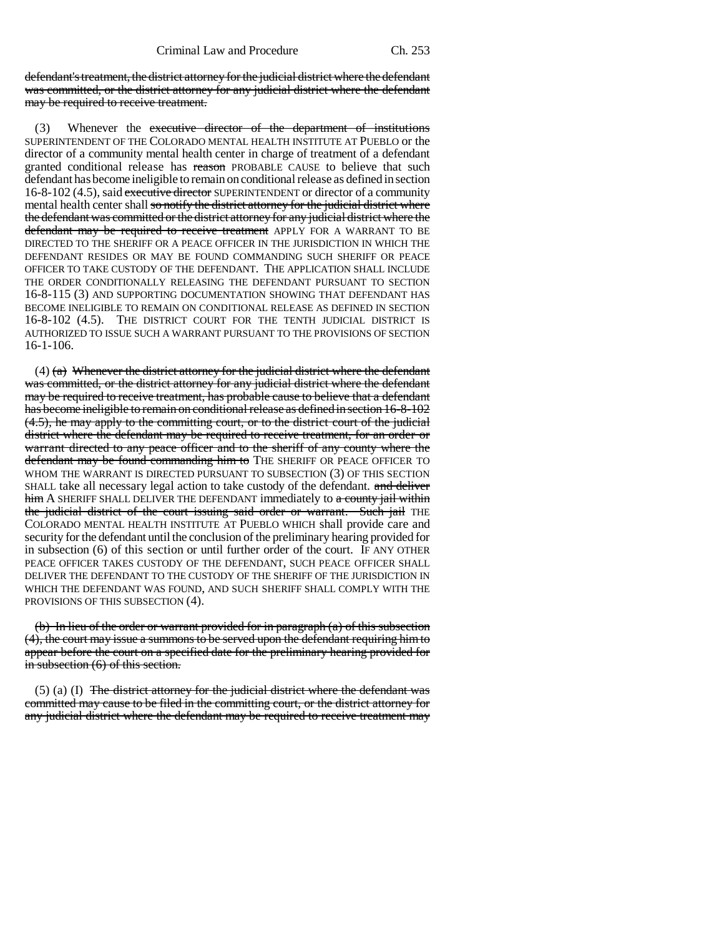defendant's treatment, the district attorney for the judicial district where the defendant was committed, or the district attorney for any judicial district where the defendant may be required to receive treatment.

Whenever the executive director of the department of institutions SUPERINTENDENT OF THE COLORADO MENTAL HEALTH INSTITUTE AT PUEBLO or the director of a community mental health center in charge of treatment of a defendant granted conditional release has reason PROBABLE CAUSE to believe that such defendant has become ineligible to remain on conditional release as defined in section 16-8-102 (4.5), said executive director SUPERINTENDENT or director of a community mental health center shall so notify the district attorney for the judicial district where the defendant was committed or the district attorney for any judicial district where the defendant may be required to receive treatment APPLY FOR A WARRANT TO BE DIRECTED TO THE SHERIFF OR A PEACE OFFICER IN THE JURISDICTION IN WHICH THE DEFENDANT RESIDES OR MAY BE FOUND COMMANDING SUCH SHERIFF OR PEACE OFFICER TO TAKE CUSTODY OF THE DEFENDANT. THE APPLICATION SHALL INCLUDE THE ORDER CONDITIONALLY RELEASING THE DEFENDANT PURSUANT TO SECTION 16-8-115 (3) AND SUPPORTING DOCUMENTATION SHOWING THAT DEFENDANT HAS BECOME INELIGIBLE TO REMAIN ON CONDITIONAL RELEASE AS DEFINED IN SECTION 16-8-102 (4.5). THE DISTRICT COURT FOR THE TENTH JUDICIAL DISTRICT IS AUTHORIZED TO ISSUE SUCH A WARRANT PURSUANT TO THE PROVISIONS OF SECTION 16-1-106.

 $(4)$  (a) Whenever the district attorney for the judicial district where the defendant was committed, or the district attorney for any judicial district where the defendant may be required to receive treatment, has probable cause to believe that a defendant has become ineligible to remain on conditional release as defined in section 16-8-102 (4.5), he may apply to the committing court, or to the district court of the judicial district where the defendant may be required to receive treatment, for an order or warrant directed to any peace officer and to the sheriff of any county where the defendant may be found commanding him to THE SHERIFF OR PEACE OFFICER TO WHOM THE WARRANT IS DIRECTED PURSUANT TO SUBSECTION (3) OF THIS SECTION SHALL take all necessary legal action to take custody of the defendant. and deliver him A SHERIFF SHALL DELIVER THE DEFENDANT immediately to a county jail within the judicial district of the court issuing said order or warrant. Such jail THE COLORADO MENTAL HEALTH INSTITUTE AT PUEBLO WHICH shall provide care and security for the defendant until the conclusion of the preliminary hearing provided for in subsection (6) of this section or until further order of the court. IF ANY OTHER PEACE OFFICER TAKES CUSTODY OF THE DEFENDANT, SUCH PEACE OFFICER SHALL DELIVER THE DEFENDANT TO THE CUSTODY OF THE SHERIFF OF THE JURISDICTION IN WHICH THE DEFENDANT WAS FOUND, AND SUCH SHERIFF SHALL COMPLY WITH THE PROVISIONS OF THIS SUBSECTION (4).

(b) In lieu of the order or warrant provided for in paragraph (a) of this subsection (4), the court may issue a summons to be served upon the defendant requiring him to appear before the court on a specified date for the preliminary hearing provided for in subsection  $(6)$  of this section.

 $(5)$  (a) (I) The district attorney for the judicial district where the defendant was committed may cause to be filed in the committing court, or the district attorney for any judicial district where the defendant may be required to receive treatment may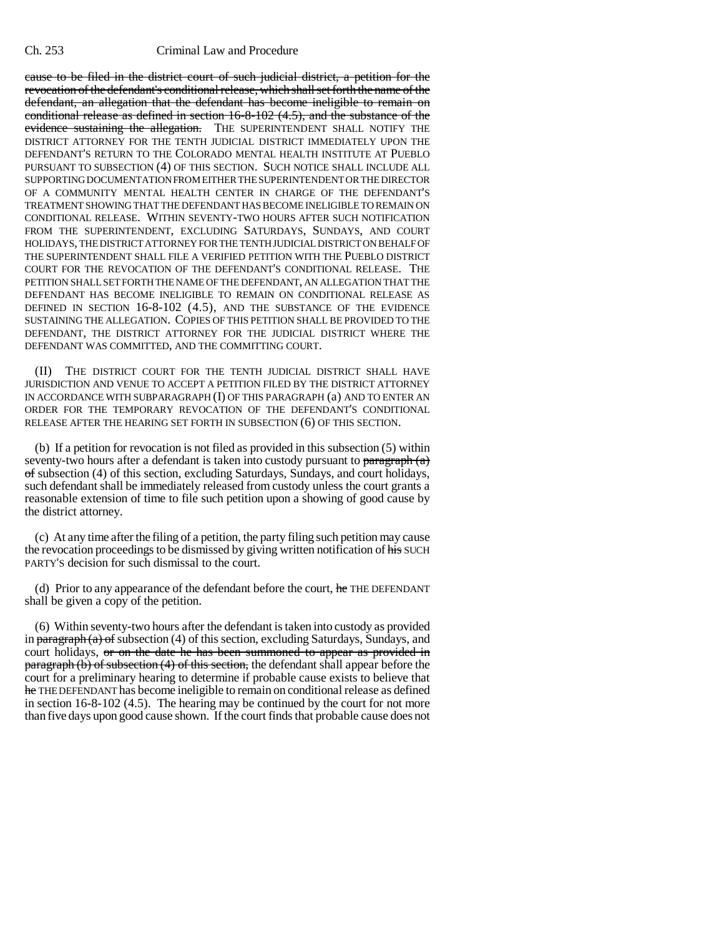## Ch. 253 Criminal Law and Procedure

cause to be filed in the district court of such judicial district, a petition for the revocation of the defendant's conditional release, which shall set forth the name of the defendant, an allegation that the defendant has become ineligible to remain on conditional release as defined in section 16-8-102 (4.5), and the substance of the evidence sustaining the allegation. THE SUPERINTENDENT SHALL NOTIFY THE DISTRICT ATTORNEY FOR THE TENTH JUDICIAL DISTRICT IMMEDIATELY UPON THE DEFENDANT'S RETURN TO THE COLORADO MENTAL HEALTH INSTITUTE AT PUEBLO PURSUANT TO SUBSECTION (4) OF THIS SECTION. SUCH NOTICE SHALL INCLUDE ALL SUPPORTING DOCUMENTATION FROM EITHER THE SUPERINTENDENT OR THE DIRECTOR OF A COMMUNITY MENTAL HEALTH CENTER IN CHARGE OF THE DEFENDANT'S TREATMENT SHOWING THAT THE DEFENDANT HAS BECOME INELIGIBLE TO REMAIN ON CONDITIONAL RELEASE. WITHIN SEVENTY-TWO HOURS AFTER SUCH NOTIFICATION FROM THE SUPERINTENDENT, EXCLUDING SATURDAYS, SUNDAYS, AND COURT HOLIDAYS, THE DISTRICT ATTORNEY FOR THE TENTH JUDICIAL DISTRICT ON BEHALF OF THE SUPERINTENDENT SHALL FILE A VERIFIED PETITION WITH THE PUEBLO DISTRICT COURT FOR THE REVOCATION OF THE DEFENDANT'S CONDITIONAL RELEASE. THE PETITION SHALL SET FORTH THE NAME OF THE DEFENDANT, AN ALLEGATION THAT THE DEFENDANT HAS BECOME INELIGIBLE TO REMAIN ON CONDITIONAL RELEASE AS DEFINED IN SECTION 16-8-102 (4.5), AND THE SUBSTANCE OF THE EVIDENCE SUSTAINING THE ALLEGATION. COPIES OF THIS PETITION SHALL BE PROVIDED TO THE DEFENDANT, THE DISTRICT ATTORNEY FOR THE JUDICIAL DISTRICT WHERE THE DEFENDANT WAS COMMITTED, AND THE COMMITTING COURT.

THE DISTRICT COURT FOR THE TENTH JUDICIAL DISTRICT SHALL HAVE JURISDICTION AND VENUE TO ACCEPT A PETITION FILED BY THE DISTRICT ATTORNEY IN ACCORDANCE WITH SUBPARAGRAPH (I) OF THIS PARAGRAPH (a) AND TO ENTER AN ORDER FOR THE TEMPORARY REVOCATION OF THE DEFENDANT'S CONDITIONAL RELEASE AFTER THE HEARING SET FORTH IN SUBSECTION (6) OF THIS SECTION.

(b) If a petition for revocation is not filed as provided in this subsection (5) within seventy-two hours after a defendant is taken into custody pursuant to  $\frac{\text{param}(\alpha)}{\text{param}(\alpha)}$ of subsection (4) of this section, excluding Saturdays, Sundays, and court holidays, such defendant shall be immediately released from custody unless the court grants a reasonable extension of time to file such petition upon a showing of good cause by the district attorney.

(c) At any time after the filing of a petition, the party filing such petition may cause the revocation proceedings to be dismissed by giving written notification of his SUCH PARTY'S decision for such dismissal to the court.

(d) Prior to any appearance of the defendant before the court,  $he$  THE DEFENDANT shall be given a copy of the petition.

(6) Within seventy-two hours after the defendant is taken into custody as provided in  $\frac{\partial^2 f}{\partial x^2}$  in  $\frac{\partial^2 f}{\partial y^2}$  of subsection (4) of this section, excluding Saturdays, Sundays, and court holidays, or on the date he has been summoned to appear as provided in paragraph (b) of subsection (4) of this section, the defendant shall appear before the court for a preliminary hearing to determine if probable cause exists to believe that he THE DEFENDANT has become ineligible to remain on conditional release as defined in section 16-8-102 (4.5). The hearing may be continued by the court for not more than five days upon good cause shown. If the court finds that probable cause does not